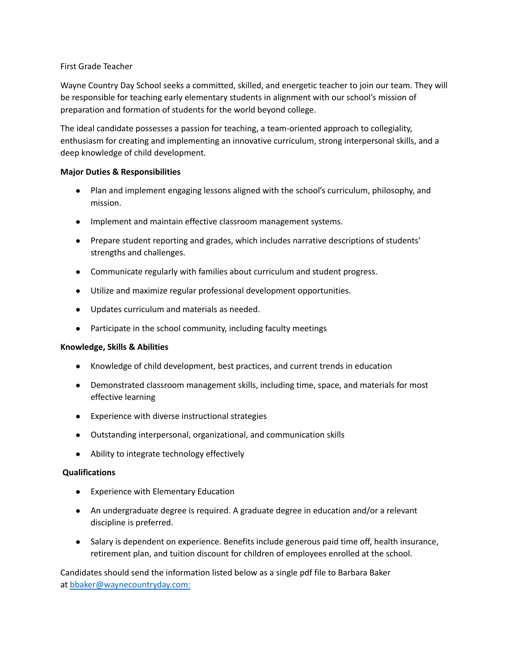## First Grade Teacher

Wayne Country Day School seeks a committed, skilled, and energetic teacher to join our team. They will be responsible for teaching early elementary students in alignment with our school's mission of preparation and formation of students for the world beyond college.

The ideal candidate possesses a passion for teaching, a team-oriented approach to collegiality, enthusiasm for creating and implementing an innovative curriculum, strong interpersonal skills, and a deep knowledge of child development.

## **Major Duties & Responsibilities**

- Plan and implement engaging lessons aligned with the school's curriculum, philosophy, and mission.
- Implement and maintain effective classroom management systems.
- Prepare student reporting and grades, which includes narrative descriptions of students' strengths and challenges.
- Communicate regularly with families about curriculum and student progress.
- Utilize and maximize regular professional development opportunities.
- Updates curriculum and materials as needed.
- Participate in the school community, including faculty meetings

## **Knowledge, Skills & Abilities**

- Knowledge of child development, best practices, and current trends in education
- Demonstrated classroom management skills, including time, space, and materials for most effective learning
- Experience with diverse instructional strategies
- Outstanding interpersonal, organizational, and communication skills
- Ability to integrate technology effectively

## **Qualifications**

- Experience with Elementary Education
- An undergraduate degree is required. A graduate degree in education and/or a relevant discipline is preferred.
- Salary is dependent on experience. Benefits include generous paid time off, health insurance, retirement plan, and tuition discount for children of employees enrolled at the school.

Candidates should send the information listed below as a single pdf file to Barbara Baker at bbaker@waynecountryday.com: